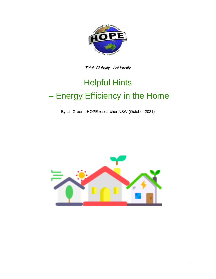

*Think Globally - Act locally*

# Helpful Hints – Energy Efficiency in the Home

By Lili Greer – HOPE researcher NSW (October 2021)

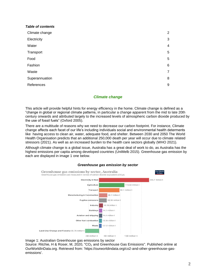| <b>Table of contents</b> |                |
|--------------------------|----------------|
| Climate change           | $\overline{2}$ |
| Electricity              | 3              |
| Water                    | $\overline{4}$ |
| Transport                | 5              |
| Food                     | 5              |
| Fashion                  | 6              |
| Waste                    | $\overline{7}$ |
| Superannuation           | 8              |
| References               | 9              |
|                          |                |

#### *Climate change*

This article will provide helpful hints for energy efficiency in the home. Climate change is defined as a "change in global or regional climate patterns, in particular a change apparent from the mid to late 20th century onwards and attributed largely to the increased levels of atmospheric carbon dioxide produced by the use of fossil fuels" (Oxford 2005).

There are a multitude of reasons why we need to decrease our carbon footprint. For instance, Climate change affects each facet of our life's including individuals social and environmental health determents like having access to clean air, water, adequate food, and shelter. Between 2030 and 2050 The World Health Organisation predicts that an additional 250,000 death per year will occur due to climate related stressors (2021). As well as an increased burden to the health care sectors globally (WHO 2021).

Although climate change is a global issue, Australia has a great deal of work to do, as Australia has the highest emissions per capita among developed countries (UniMelb 2015). Greenhouse gas emission by each are displayed in image 1 one below.



#### *Greenhouse gas emission by sector*

Image 1: Australian Greenhouse gas emissions by sector

Source: Ritchie, H & Roser, M, 2020, "CO<sub>2</sub> and Greenhouse Gas Emissions". Published online at OurWorldInData.org. Retrieved from: 'https://ourworldindata.org/co2-and-other-greenhouse-gasemissions'.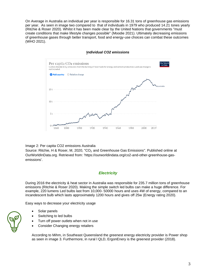On Average in Australia an individual per year is responsible for 16.31 tons of greenhouse gas emissions per year. As seen in image two compared to that of individuals in 1979 who produced 14.21 tones yearly (Ritchie & Roser 2020). Whilst it has been made clear by the United Nations that governments "must create conditions that make lifestyle changes possible" (Moodie 2021). Ultimately decreasing emissions of greenhouse gases through better transport, food and energy-use choices can combat these outcomes (WHO 2021).



#### **I***ndividual CO2 emissions*

Image 2: Per capita CO2 emissions Australia

Source: Ritchie, H & Roser, M, 2020, "CO<sub>2</sub> and Greenhouse Gas Emissions". Published online at OurWorldInData.org. Retrieved from: 'https://ourworldindata.org/co2-and-other-greenhouse-gasemissions'.

# *Electricity*

During 2016 the electricity & heat sector in Australia was responsible for 235.7 million tons of greenhouse emissions (Ritchie & Roser 2020). Making the simple switch led bulbs can make a huge difference. For example, 220 lumens Led bulbs last from 10,000- 50000 hours and uses 4W of energy, compared to an incandescent bulb which lasts approximately 1200 hours and gives off 25w (Energy rating 2020).

Easy ways to decrease your electricity usage

- Solar panels
- Switching to led bulbs
- Turn off power outlets when not in use
- Consider Changing energy retailers

According to Mihm, in Southeast Queensland the greenest energy electricity provider is Power shop as seen in image 3. Furthermore, in rural l QLD, ErgonEnery is the greenest provider (2018).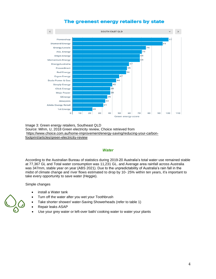

# The greenest energy retailers by state

Image 3: Green energy retailers, Southeast QLD Source: Mihm, U, 2018 Green electricity review, Choice retrieved from https://www.choice.com.au/home-improve[ment/energy-saving/reducing-your-carbon](https://www.choice.com.au/home-improvement/energy-saving/reducing-your-carbon-footprint/articles/green-electricity-review)[footprint/articles/green-electricity-review](https://www.choice.com.au/home-improvement/energy-saving/reducing-your-carbon-footprint/articles/green-electricity-review)

# *Water*

According to the Australian Bureau of statistics during 2019-20 Australia's total water use remained stable at 77,367 GL and Total water consumption was 11,231 GL. and Average area rainfall across Australia was 347mm, stable year on year (ABS 2021). Due to the unpredictability of Australia's rain fall in the midst of climate change and river flows estimated to drop by 10- 25% within ten years, it's important to take every opportunity to save water (Heggie).

Simple changes

- install a Water tank
- Turn off the water after you wet your Toothbrush
- Take shorter shower/ water-Saving Showerheads (refer to table 1)
- Repair leaks ASAP
- Use your grey water or left-over bath/cooking water to water your plants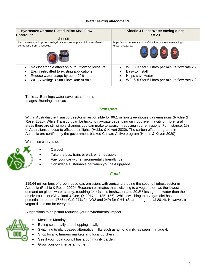#### *Water saving attachments*

| <b>Hydrosave Chrome Plated Inline M&amp;F Flow</b><br>Controller<br>\$11.05 | Kinetic 4 Piece Water saving discs<br>\$8.20              |
|-----------------------------------------------------------------------------|-----------------------------------------------------------|
| https://www.bunnings.com.au/hydrosave-chrome-plated-inline-m-f-flow-        | https://www.bunnings.com.au/kinetic-4-piece-water-saving- |
| controller-9-l-pm p4950012                                                  | discs_p4920321                                            |
| No discernable affect on output flow or pressure                            | WELS 3 Star 9 Litres per minute flow rate x 2             |
| Easily retrofitted to existing applications                                 | Easy to install                                           |
| Reduce water usage by up to 90%                                             | Helps save water                                          |
| WELS Rating: 3 Star Flow Rate 9L/min                                        | WELS 5 Star 6 Litres per minute flow rate x 2             |

Table 1: Bunnings water saver attachments Images: Bunnings.com.au

# *Transport*

Within Australia the Transport sector is responsible for 96.1 million greenhouse gas emissions (Ritchie & Roser 2020). While Transport can be tricky to navigate depending on if you live in a city or more rural areas there are still simple changes you can make to assist in reducing your emissions. For instance, 1% of Australians choose to offset their flights (Hobbs & Kilvert 2020). The carbon offset programs in Australia are certified by the [government-backed Climate Active program](https://www.climateactive.org.au/) (Hobbs & Kilvert 2020).

What else can you do



- **Carpool**
- Take the bus, train, or walk when possible
- Fuel your car with environmentally friendly fuel
- Consider a sustainable car when you next upgrade

#### *Food*

119.64 million tons of greenhouse gas emission, with agriculture being the second highest sector in Australia (Ritchie & Roser 2020). Research estimates that switching to a vegan diet has the lowest demand on global water supply, requiring 14.4% less freshwater and 20.8% less groundwater than the omnivorous diet (Cleveland & Gee, Q. 2017, p. 135- 156). While switching to a vegan diet has the potential to reduce 17 % of Co2,21% for NO2 and 24% for CH4 (Scarborough et. al 2014). However, a vegan diet is not for everyone.

Suggestions to help start reducing your environmental impact

- Meatless Mondays
- Eating seasonally and shopping locally
- Switching to plant based alternative milks such as almond milk, as seen in image 4.
- Shop locally; farmers markets and local butchers
- See if your local council has a community garden
- Grow your own herbs at home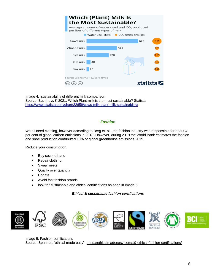

Image 4: sustainability of different milk comparison Source: Buchholz, K 2021, Which Plant milk is the most sustainable? Statista <https://www.statista.com/chart/22659/cows-milk-plant-milk-sustainability/>

# *Fashion*

We all need clothing, however according to Berg et. al., the fashion industry was responsible for about 4 [per cent of global carbon emissions](https://www.mckinsey.com/industries/retail/our-insights/fashion-on-climate) in 2018. However, during 2019 the World Bank estimates the fashion and shoe production contributed 10% of global greenhouse emissions 2019.

Reduce your consumption

- Buy second hand
- Repair clothing
- Swap meets
- Quality over quantity
- Donate
- Avoid fast fashion brands
- look for sustainable and ethical certifications as seen in image 5

*Ethical & sustainable fashion certifications*



Image 5: Fashion certifications Source: Spanner, "ethical made easy" <https://ethicalmadeeasy.com/10-ethical-fashion-certifications/>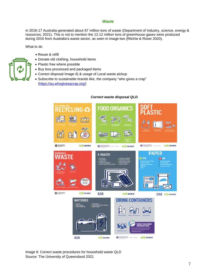#### *Waste*

In 2016-17 Australia generated about 67 million tons of waste (Department of Industry, science, energy & resources, 2021). This is not to mention the 12.12 million tons of greenhouse gases were produced during 2016 from Australia's waste sector, as seen in image two (Ritchie & Roser 2020).

What to do

- Reuse & refill
- Donate old clothing, household items
- Plastic free where possible
- Buy less processed and packaged items
- Correct disposal Image 6) & usage of Local waste pickup
- Subscribe to sustainable brands like, the company "who gives a crap" [\(https://au.whogivesacrap.org/\)](https://au.whogivesacrap.org/)



#### *Correct waste disposal QLD*

Image 6: Correct waste procedures for household waste QLD Source: The University of Queensland 2021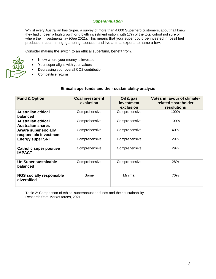# *Superannuation*

Whilst every Australian has Super, a survey of more than 4,000 Superhero customers, about half knew they had chosen a high growth or growth investment option, with 17% of the total cohort not sure of where their investments lay (Gee 2021). This means that your super could be invested in fossil fuel production, coal mining, gambling, tobacco, and live animal exports to name a few.

Consider making the switch to an ethical superfund, benefit from.

- Know where your money is invested
- Your super aligns with your values
- Decreasing your overall CO2 contribution
- Competitive returns

# **Ethical superfunds and their sustainability analysis**

| <b>Fund &amp; Option</b>                              | <b>Coal investment</b><br>exclusion | Oil & gas<br>investment<br>exclusion | Votes in favour of climate-<br>related shareholder<br>resolutions |
|-------------------------------------------------------|-------------------------------------|--------------------------------------|-------------------------------------------------------------------|
| <b>Australian ethical</b><br>balanced                 | Comprehensive                       | Comprehensive                        | 100%                                                              |
| <b>Australian ethical</b><br><b>Australian shares</b> | Comprehensive                       | Comprehensive                        | 100%                                                              |
| <b>Aware super socially</b><br>responsible investment | Comprehensive                       | Comprehensive                        | 40%                                                               |
| <b>Energy super SRI</b>                               | Comprehensive                       | Comprehensive                        | 29%                                                               |
| <b>Catholic super positive</b><br><b>IMPACT</b>       | Comprehensive                       | Comprehensive                        | 29%                                                               |
| <b>UniSuper sustainable</b><br>balanced               | Comprehensive                       | Comprehensive                        | 28%                                                               |
| <b>NGS socially responsible</b><br>diversified        | Some                                | Minimal                              | 70%                                                               |

Table 2: Comparison of ethical superannuation funds and their sustainability. Research from Market forces, 2021,